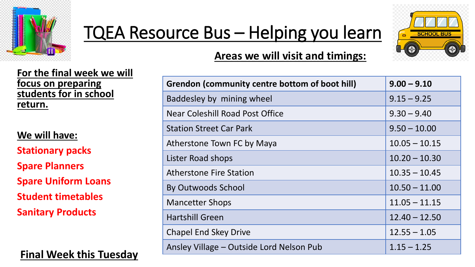

## TQEA Resource Bus – Helping you learn



## **Areas we will visit and timings:**

**For the final week we will focus on preparing students for in school return.**

**We will have: Stationary packs Spare Planners Spare Uniform Loans Student timetables Sanitary Products**

**Final Week this Tuesday**

| <b>Grendon (community centre bottom of boot hill)</b> | $9.00 - 9.10$   |
|-------------------------------------------------------|-----------------|
| Baddesley by mining wheel                             | $9.15 - 9.25$   |
| <b>Near Coleshill Road Post Office</b>                | $9.30 - 9.40$   |
| <b>Station Street Car Park</b>                        | $9.50 - 10.00$  |
| Atherstone Town FC by Maya                            | $10.05 - 10.15$ |
| Lister Road shops                                     | $10.20 - 10.30$ |
| <b>Atherstone Fire Station</b>                        | $10.35 - 10.45$ |
| <b>By Outwoods School</b>                             | $10.50 - 11.00$ |
| <b>Mancetter Shops</b>                                | $11.05 - 11.15$ |
| <b>Hartshill Green</b>                                | $12.40 - 12.50$ |
| <b>Chapel End Skey Drive</b>                          | $12.55 - 1.05$  |
| Ansley Village - Outside Lord Nelson Pub              | $1.15 - 1.25$   |